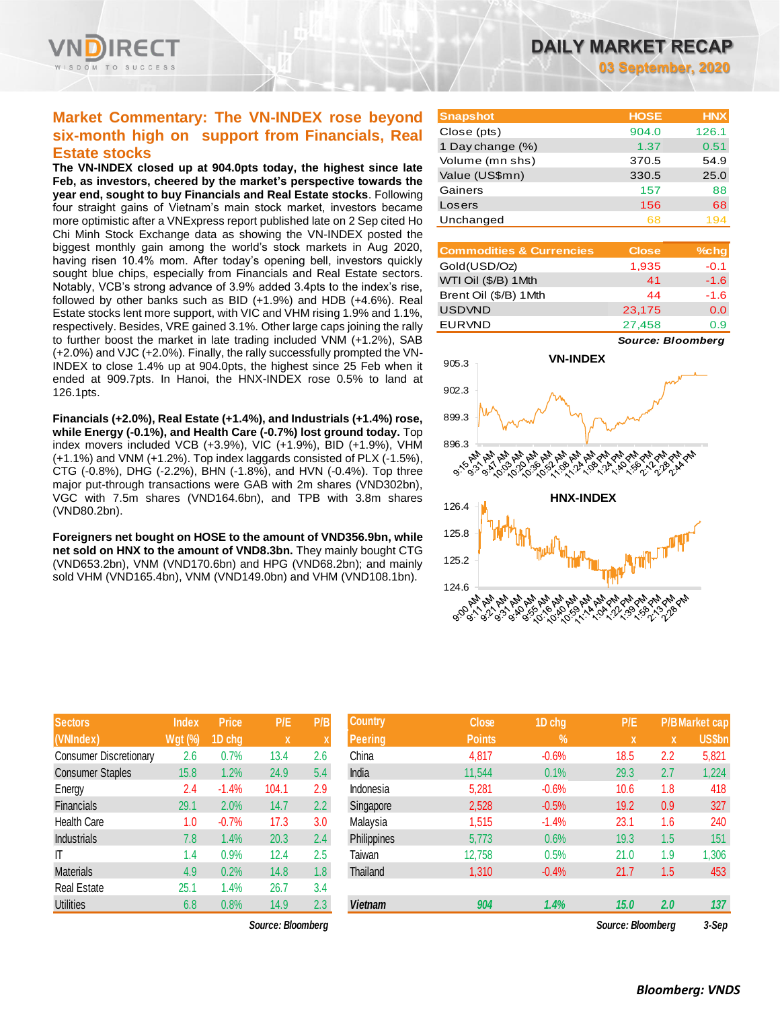### **Market Commentary: The VN-INDEX rose beyond six-month high on support from Financials, Real Estate stocks**

**The VN-INDEX closed up at 904.0pts today, the highest since late Feb, as investors, cheered by the market's perspective towards the year end, sought to buy Financials and Real Estate stocks**. Following four straight gains of Vietnam's main stock market, investors became more optimistic after a VNExpress report published late on 2 Sep cited Ho Chi Minh Stock Exchange data as showing the VN-INDEX posted the biggest monthly gain among the world's stock markets in Aug 2020, having risen 10.4% mom. After today's opening bell, investors quickly sought blue chips, especially from Financials and Real Estate sectors. Notably, VCB's strong advance of 3.9% added 3.4pts to the index's rise, followed by other banks such as BID (+1.9%) and HDB (+4.6%). Real Estate stocks lent more support, with VIC and VHM rising 1.9% and 1.1%, respectively. Besides, VRE gained 3.1%. Other large caps joining the rally to further boost the market in late trading included VNM (+1.2%), SAB (+2.0%) and VJC (+2.0%). Finally, the rally successfully prompted the VN-INDEX to close 1.4% up at 904.0pts, the highest since 25 Feb when it ended at 909.7pts. In Hanoi, the HNX-INDEX rose 0.5% to land at 126.1pts.

**Financials (+2.0%), Real Estate (+1.4%), and Industrials (+1.4%) rose, while Energy (-0.1%), and Health Care (-0.7%) lost ground today.** Top index movers included VCB (+3.9%), VIC (+1.9%), BID (+1.9%), VHM (+1.1%) and VNM (+1.2%). Top index laggards consisted of PLX (-1.5%), CTG (-0.8%), DHG (-2.2%), BHN (-1.8%), and HVN (-0.4%). Top three major put-through transactions were GAB with 2m shares (VND302bn), VGC with 7.5m shares (VND164.6bn), and TPB with 3.8m shares (VND80.2bn).

**Foreigners net bought on HOSE to the amount of VND356.9bn, while net sold on HNX to the amount of VND8.3bn.** They mainly bought CTG (VND653.2bn), VNM (VND170.6bn) and HPG (VND68.2bn); and mainly sold VHM (VND165.4bn), VNM (VND149.0bn) and VHM (VND108.1bn).

| <b>Sectors</b>                | <b>Index</b> | <b>Price</b> | P/E.  | P/B |
|-------------------------------|--------------|--------------|-------|-----|
| (VNIndex)                     | Wgt (%)      | 1D chg       | X     | X   |
| <b>Consumer Discretionary</b> | 2.6          | 0.7%         | 13.4  | 2.6 |
| <b>Consumer Staples</b>       | 15.8         | 1.2%         | 24.9  | 5.4 |
| Energy                        | 2.4          | $-1.4%$      | 104.1 | 2.9 |
| Financials                    | 29.1         | 2.0%         | 14.7  | 2.2 |
| <b>Health Care</b>            | 1.0          | $-0.7%$      | 17.3  | 3.0 |
| <b>Industrials</b>            | 7.8          | 1.4%         | 20.3  | 2.4 |
| ıτ                            | 1.4          | 0.9%         | 12.4  | 2.5 |
| <b>Materials</b>              | 4.9          | 0.2%         | 14.8  | 1.8 |
| <b>Real Estate</b>            | 25.1         | 1.4%         | 26.7  | 3.4 |
| Utilities                     | 6.8          | 0.8%         | 14.9  | 2.3 |

 $Source: Bloomberg$ 

**03 September, 2020**

| <b>Snapshot</b>  | <b>HOSE</b> | <b>HNX</b> |
|------------------|-------------|------------|
| Close (pts)      | 904.0       | 126.1      |
| 1 Day change (%) | 1.37        | 0.51       |
| Volume (mn shs)  | 370.5       | 54.9       |
| Value (US\$mn)   | 330.5       | 25.0       |
| Gainers          | 157         | 88         |
| Losers           | 156         | 68         |
| Unchanged        | 68          |            |

| <b>Commodities &amp; Currencies</b> | <b>Close</b> | $%$ chg |
|-------------------------------------|--------------|---------|
| Gold(USD/Oz)                        | 1,935        | $-0.1$  |
| WTI Oil (\$/B) 1Mth                 | 41           | $-1.6$  |
| Brent Oil (\$/B) 1Mth               | 44           | $-1.6$  |
| <b>USDVND</b>                       | 23,175       | 0.0     |
| <b>EURVND</b>                       | 27,458       | 0.9     |

*Source: Bloomberg*



| <b>Sectors</b>                | <b>Index</b>   | <b>Price</b> | P/E               | P/B              | <b>Country</b> | <b>Close</b>  | 1D chg  | P/E               |     | <b>P/B Market cap</b> |
|-------------------------------|----------------|--------------|-------------------|------------------|----------------|---------------|---------|-------------------|-----|-----------------------|
| (VNIndex)                     | <b>Wgt (%)</b> | 1D chg       | X                 |                  | <b>Peering</b> | <b>Points</b> | %       | X                 | X   | <b>US\$bn</b>         |
| <b>Consumer Discretionary</b> | 2.6            | 0.7%         | 13.4              | 2.6              | China          | 4,817         | $-0.6%$ | 18.5              | 2.2 | 5,821                 |
| <b>Consumer Staples</b>       | 15.8           | 1.2%         | 24.9              | 5.4              | India          | 11,544        | 0.1%    | 29.3              | 2.7 | 1,224                 |
| Energy                        | 2.4            | $-1.4%$      | 104.1             | 2.9              | Indonesia      | 5,281         | $-0.6%$ | 10.6              | 1.8 | 418                   |
| Financials                    | 29.1           | 2.0%         | 14.7              | 2.2              | Singapore      | 2,528         | $-0.5%$ | 19.2              | 0.9 | 327                   |
| <b>Health Care</b>            | 1.0            | $-0.7%$      | 17.3              | 3.0              | Malaysia       | 1,515         | $-1.4%$ | 23.1              | 1.6 | 240                   |
| <b>Industrials</b>            | 7.8            | 1.4%         | 20.3              | 2.4              | Philippines    | 5,773         | 0.6%    | 19.3              | 1.5 | 151                   |
| IΤ                            | 1.4            | 0.9%         | 12.4              | 2.5              | Taiwan         | 12,758        | 0.5%    | 21.0              | 1.9 | 1,306                 |
| <b>Materials</b>              | 4.9            | 0.2%         | 14.8              | 1.8 <sup>°</sup> | Thailand       | 1,310         | $-0.4%$ | 21.7              | 1.5 | 453                   |
| Real Estate                   | 25.1           | 1.4%         | 26.7              | 3.4              |                |               |         |                   |     |                       |
| <b>Utilities</b>              | 6.8            | 0.8%         | 14.9              | 2.3              | <b>Vietnam</b> | 904           | 1.4%    | 15.0              | 2.0 | 137                   |
|                               |                |              | Source: Bloomberg |                  |                |               |         | Source: Bloombera |     | 3-Sep                 |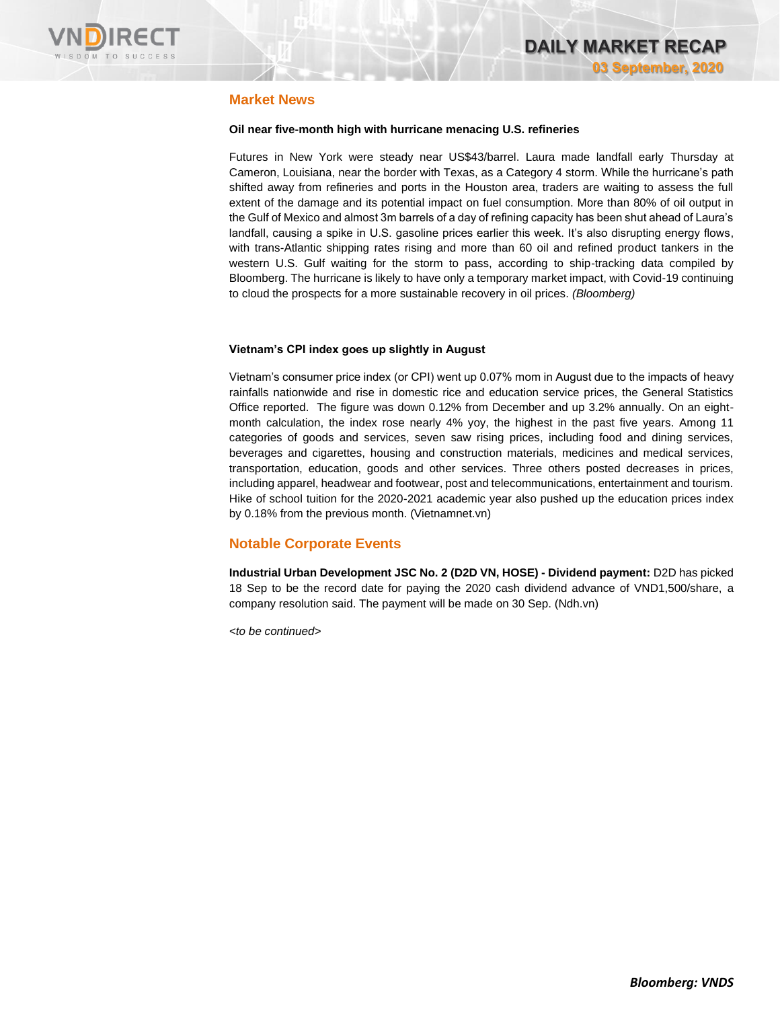

### **Market News**

#### **Oil near five-month high with hurricane menacing U.S. refineries**

Futures in New York were steady near US\$43/barrel. Laura made landfall early Thursday at Cameron, Louisiana, near the border with Texas, as a Category 4 storm. While the hurricane's path shifted away from refineries and ports in the Houston area, traders are waiting to assess the full extent of the damage and its potential impact on fuel consumption. More than 80% of oil output in the Gulf of Mexico and almost 3m barrels of a day of refining capacity has been shut ahead of Laura's landfall, causing a spike in U.S. gasoline prices earlier this week. It's also disrupting energy flows, with trans-Atlantic shipping rates rising and more than 60 oil and refined product tankers in the western U.S. Gulf waiting for the storm to pass, according to ship-tracking data compiled by Bloomberg. The hurricane is likely to have only a temporary market impact, with Covid-19 continuing to cloud the prospects for a more sustainable recovery in oil prices. *(Bloomberg)*

#### **Vietnam's CPI index goes up slightly in August**

Vietnam's consumer price index (or CPI) went up 0.07% mom in August due to the impacts of heavy rainfalls nationwide and rise in domestic rice and education service prices, the General Statistics Office reported. The figure was down 0.12% from December and up 3.2% annually. On an eightmonth calculation, the index rose nearly 4% yoy, the highest in the past five years. Among 11 categories of goods and services, seven saw rising prices, including food and dining services, beverages and cigarettes, housing and construction materials, medicines and medical services, transportation, education, goods and other services. Three others posted decreases in prices, including apparel, headwear and footwear, post and telecommunications, entertainment and tourism. Hike of school tuition for the 2020-2021 academic year also pushed up the education prices index by 0.18% from the previous month. (Vietnamnet.vn)

### **Notable Corporate Events**

**Industrial Urban Development JSC No. 2 (D2D VN, HOSE) - Dividend payment:** D2D has picked 18 Sep to be the record date for paying the 2020 cash dividend advance of VND1,500/share, a company resolution said. The payment will be made on 30 Sep. (Ndh.vn)

*<to be continued>*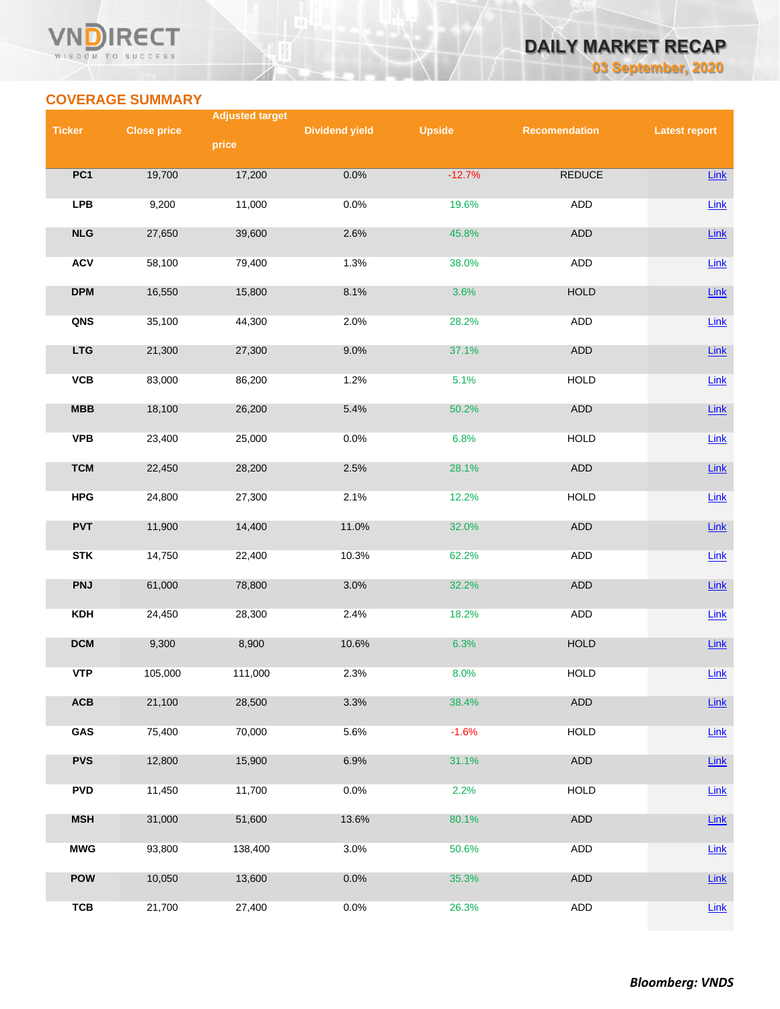#### **VN RECT** WISDOM TO SUCCESS

## **DAILY MARKET RECAP 03 September, 2020**

**COVERAGE SUMMARY**

|                | <b>Adjusted target</b> |         |                       |               |                      |                      |  |
|----------------|------------------------|---------|-----------------------|---------------|----------------------|----------------------|--|
| <b>Ticker</b>  | <b>Close price</b>     |         | <b>Dividend yield</b> | <b>Upside</b> | <b>Recomendation</b> | <b>Latest report</b> |  |
|                |                        | price   |                       |               |                      |                      |  |
| PC1            | 19,700                 | 17,200  | 0.0%                  | $-12.7%$      | <b>REDUCE</b>        | Link                 |  |
| <b>LPB</b>     | 9,200                  | 11,000  | 0.0%                  | 19.6%         | ADD                  | $Link$               |  |
| NLG            | 27,650                 | 39,600  | 2.6%                  | 45.8%         | <b>ADD</b>           | Link                 |  |
| <b>ACV</b>     | 58,100                 | 79,400  | 1.3%                  | 38.0%         | <b>ADD</b>           | Link                 |  |
| <b>DPM</b>     | 16,550                 | 15,800  | 8.1%                  | 3.6%          | <b>HOLD</b>          | Link                 |  |
| QNS            | 35,100                 | 44,300  | 2.0%                  | 28.2%         | <b>ADD</b>           | $Link$               |  |
| <b>LTG</b>     | 21,300                 | 27,300  | 9.0%                  | 37.1%         | ADD                  | Link                 |  |
| VCB            | 83,000                 | 86,200  | 1.2%                  | 5.1%          | <b>HOLD</b>          | $Link$               |  |
| MBB            | 18,100                 | 26,200  | 5.4%                  | 50.2%         | <b>ADD</b>           | Link                 |  |
| <b>VPB</b>     | 23,400                 | 25,000  | 0.0%                  | 6.8%          | <b>HOLD</b>          | Link                 |  |
| <b>TCM</b>     | 22,450                 | 28,200  | 2.5%                  | 28.1%         | ADD                  | Link                 |  |
| <b>HPG</b>     | 24,800                 | 27,300  | 2.1%                  | 12.2%         | <b>HOLD</b>          | <b>Link</b>          |  |
| <b>PVT</b>     | 11,900                 | 14,400  | 11.0%                 | 32.0%         | ADD                  | Link                 |  |
| <b>STK</b>     | 14,750                 | 22,400  | 10.3%                 | 62.2%         | ADD                  | $Link$               |  |
| <b>PNJ</b>     | 61,000                 | 78,800  | 3.0%                  | 32.2%         | ADD                  | <b>Link</b>          |  |
| <b>KDH</b>     | 24,450                 | 28,300  | 2.4%                  | 18.2%         | ADD                  | $Link$               |  |
| <b>DCM</b>     | 9,300                  | 8,900   | 10.6%                 | 6.3%          | <b>HOLD</b>          | <b>Link</b>          |  |
| <b>VTP</b>     | 105,000                | 111,000 | 2.3%                  | 8.0%          | <b>HOLD</b>          | Link                 |  |
| $\mathsf{ACB}$ | 21,100                 | 28,500  | 3.3%                  | 38.4%         | <b>ADD</b>           | Link                 |  |
| GAS            | 75,400                 | 70,000  | 5.6%                  | $-1.6%$       | <b>HOLD</b>          | <b>Link</b>          |  |
| <b>PVS</b>     | 12,800                 | 15,900  | 6.9%                  | 31.1%         | ADD                  | <b>Link</b>          |  |
| <b>PVD</b>     | 11,450                 | 11,700  | 0.0%                  | 2.2%          | <b>HOLD</b>          | Link                 |  |
| <b>MSH</b>     | 31,000                 | 51,600  | 13.6%                 | 80.1%         | ADD                  | Link                 |  |
| <b>MWG</b>     | 93,800                 | 138,400 | 3.0%                  | 50.6%         | ADD                  | <b>Link</b>          |  |
| <b>POW</b>     | 10,050                 | 13,600  | 0.0%                  | 35.3%         | ADD                  | Link                 |  |
| <b>TCB</b>     | 21,700                 | 27,400  | 0.0%                  | 26.3%         | <b>ADD</b>           | $Link$               |  |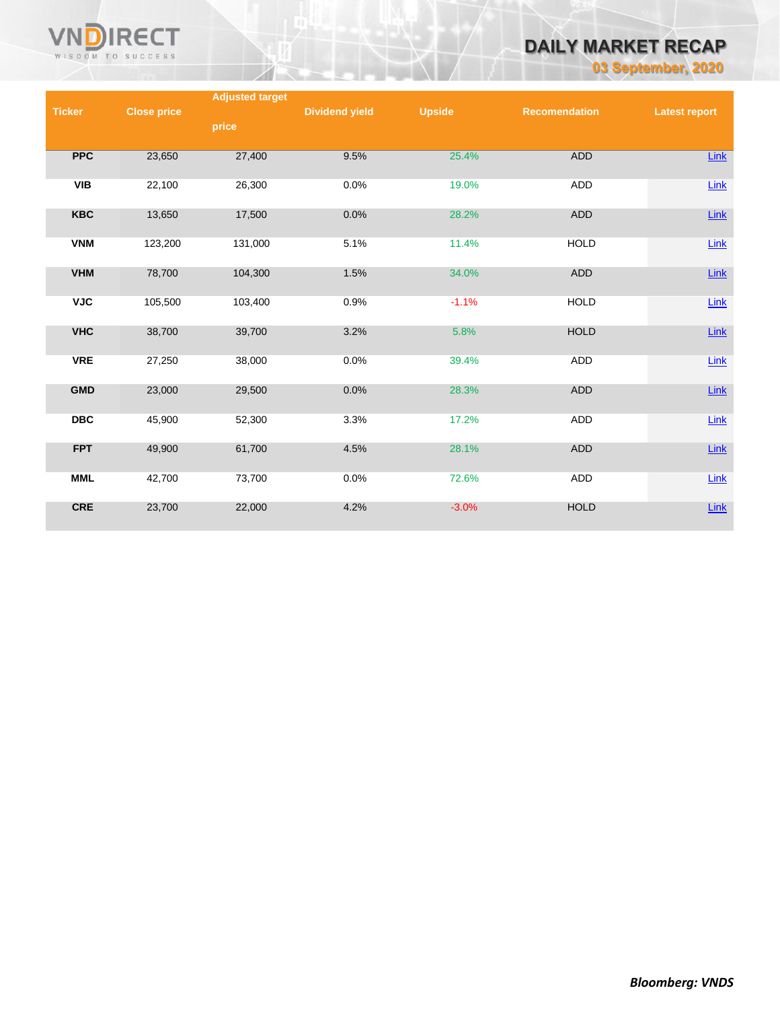

# **DAILY MARKET RECAP**

**03 September, 2020**

|               |                    | <b>Adjusted target</b> |                       |               |                      |                      |
|---------------|--------------------|------------------------|-----------------------|---------------|----------------------|----------------------|
| <b>Ticker</b> | <b>Close price</b> |                        | <b>Dividend yield</b> | <b>Upside</b> | <b>Recomendation</b> | <b>Latest report</b> |
|               |                    | price                  |                       |               |                      |                      |
|               |                    |                        |                       |               |                      |                      |
| <b>PPC</b>    | 23,650             | 27,400                 | 9.5%                  | 25.4%         | ADD                  | Link                 |
|               |                    |                        |                       |               |                      |                      |
|               |                    |                        |                       |               |                      |                      |
| <b>VIB</b>    | 22,100             | 26,300                 | 0.0%                  | 19.0%         | ADD                  | Link                 |
|               |                    |                        |                       |               |                      |                      |
| <b>KBC</b>    | 13,650             | 17,500                 | 0.0%                  | 28.2%         | ADD                  | $Link$               |
|               |                    |                        |                       |               |                      |                      |
| <b>VNM</b>    | 123,200            | 131,000                | 5.1%                  | 11.4%         | <b>HOLD</b>          | Link                 |
|               |                    |                        |                       |               |                      |                      |
| <b>VHM</b>    | 78,700             | 104,300                | 1.5%                  | 34.0%         | <b>ADD</b>           | Link                 |
|               |                    |                        |                       |               |                      |                      |
| <b>VJC</b>    | 105,500            | 103,400                | 0.9%                  | $-1.1%$       | <b>HOLD</b>          | Link                 |
|               |                    |                        |                       |               |                      |                      |
| <b>VHC</b>    | 38,700             | 39,700                 | 3.2%                  | 5.8%          | <b>HOLD</b>          | $Link$               |
|               |                    |                        |                       |               |                      |                      |
| <b>VRE</b>    | 27,250             | 38,000                 | 0.0%                  | 39.4%         | ADD                  | $Link$               |
|               |                    |                        |                       |               |                      |                      |
|               |                    |                        |                       |               |                      |                      |
| <b>GMD</b>    | 23,000             | 29,500                 | 0.0%                  | 28.3%         | ADD                  | $Link$               |
|               |                    |                        |                       |               |                      |                      |
| <b>DBC</b>    | 45,900             | 52,300                 | 3.3%                  | 17.2%         | ADD                  | $Link$               |
|               |                    |                        |                       |               |                      |                      |
| <b>FPT</b>    | 49,900             | 61,700                 | 4.5%                  | 28.1%         | <b>ADD</b>           | $Link$               |
|               |                    |                        |                       |               |                      |                      |
| <b>MML</b>    | 42,700             | 73,700                 | 0.0%                  | 72.6%         | ADD                  | Link                 |
|               |                    |                        |                       |               |                      |                      |
| <b>CRE</b>    | 23,700             | 22,000                 | 4.2%                  | $-3.0%$       | <b>HOLD</b>          | $Link$               |
|               |                    |                        |                       |               |                      |                      |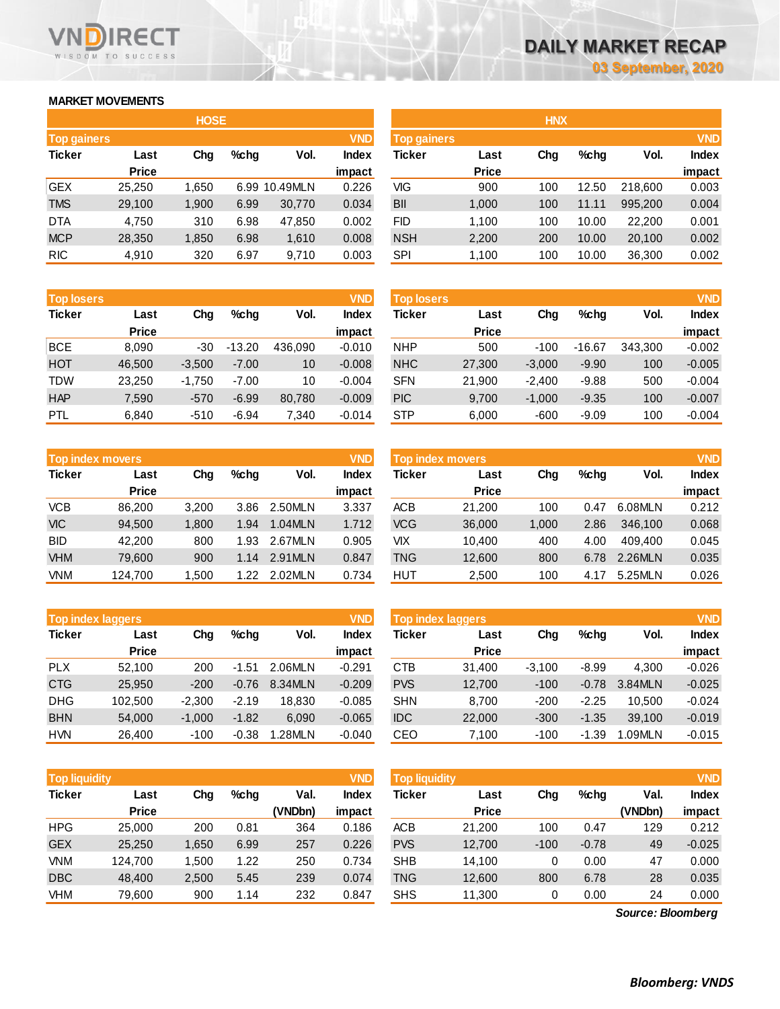### **MARKET MOVEMENTS**

WISDOM TO SUCCESS

**RECT** 

|                    |       |         |             |               | <b>HNX</b>    |              |                    |       |         |            |
|--------------------|-------|---------|-------------|---------------|---------------|--------------|--------------------|-------|---------|------------|
| <b>Top gainers</b> |       |         |             | <b>VND</b>    |               |              |                    |       |         | <b>VND</b> |
| Last               | Chg   | $%$ chg | Vol.        | <b>Index</b>  | <b>Ticker</b> | Last         | Chg                | %chq  | Vol.    | Index      |
| <b>Price</b>       |       |         |             | impact        |               | <b>Price</b> |                    |       |         | impact     |
| 25,250             | 1.650 |         |             | 0.226         | VIG           | 900          | 100                | 12.50 | 218,600 | 0.003      |
| 29,100             | 1,900 | 6.99    | 30,770      | 0.034         | BII           | 1,000        | 100                | 11.11 | 995,200 | 0.004      |
| 4,750              | 310   | 6.98    | 47,850      | 0.002         | FID.          | 1.100        | 100                | 10.00 | 22,200  | 0.001      |
| 28,350             | 1,850 | 6.98    | 1,610       | 0.008         | <b>NSH</b>    | 2,200        | 200                | 10.00 | 20,100  | 0.002      |
| 4,910              | 320   | 6.97    | 9,710       | 0.003         | SPI           | 1,100        | 100                | 10.00 | 36,300  | 0.002      |
|                    |       |         | <b>HOSE</b> | 6.99 10.49MLN |               |              | <b>Top gainers</b> |       |         |            |

| <b>Top losers</b> |              |          |          |         | <b>VND</b>   |
|-------------------|--------------|----------|----------|---------|--------------|
| <b>Ticker</b>     | Last         | Cha      | %chq     | Vol.    | <b>Index</b> |
|                   | <b>Price</b> |          |          |         | impact       |
| <b>BCE</b>        | 8,090        | -30      | $-13.20$ | 436,090 | $-0.010$     |
| <b>HOT</b>        | 46,500       | $-3,500$ | $-7.00$  | 10      | $-0.008$     |
| <b>TDW</b>        | 23,250       | $-1,750$ | $-7.00$  | 10      | $-0.004$     |
| <b>HAP</b>        | 7,590        | $-570$   | $-6.99$  | 80,780  | $-0.009$     |
| <b>PTL</b>        | 6,840        | $-510$   | $-6.94$  | 7,340   | $-0.014$     |

|               | <b>Top index movers</b> |       |         |         | <b>VND</b>   |
|---------------|-------------------------|-------|---------|---------|--------------|
| <b>Ticker</b> | Last                    | Cha   | $%$ chq | Vol.    | <b>Index</b> |
|               | <b>Price</b>            |       |         |         | impact       |
| <b>VCB</b>    | 86,200                  | 3,200 | 3.86    | 2.50MLN | 3.337        |
| <b>VIC</b>    | 94,500                  | 1,800 | 1.94    | 1.04MLN | 1.712        |
| <b>BID</b>    | 42,200                  | 800   | 1.93    | 2.67MLN | 0.905        |
| <b>VHM</b>    | 79,600                  | 900   | 1.14    | 2.91MLN | 0.847        |
| <b>VNM</b>    | 124,700                 | 1,500 | 1.22    | 2.02MLN | 0.734        |

| <b>Top index laggers</b> |              |          |         |         | <b>VND</b>   |
|--------------------------|--------------|----------|---------|---------|--------------|
| <b>Ticker</b>            | Last         | Cha      | $%$ chq | Vol.    | <b>Index</b> |
|                          | <b>Price</b> |          |         |         | impact       |
| <b>PLX</b>               | 52,100       | 200      | $-1.51$ | 2.06MLN | $-0.291$     |
| <b>CTG</b>               | 25,950       | $-200$   | $-0.76$ | 8.34MLN | $-0.209$     |
| <b>DHG</b>               | 102,500      | $-2,300$ | $-2.19$ | 18.830  | $-0.085$     |
| <b>BHN</b>               | 54,000       | $-1,000$ | $-1.82$ | 6,090   | $-0.065$     |
| <b>HVN</b>               | 26,400       | $-100$   | $-0.38$ | 1.28MLN | $-0.040$     |

|                    |              | <b>HOSE</b> |      |               |              | <b>HNX</b>         |              |     |         |         |              |  |
|--------------------|--------------|-------------|------|---------------|--------------|--------------------|--------------|-----|---------|---------|--------------|--|
| <b>Top gainers</b> |              |             |      |               | <b>VND</b>   | <b>Top gainers</b> |              |     |         |         | <b>VND</b>   |  |
| Ticker             | Last         | Chg         | %chq | Vol.          | <b>Index</b> | <b>Ticker</b>      | Last         | Chg | $%$ chq | Vol.    | <b>Index</b> |  |
|                    | <b>Price</b> |             |      |               | impact       |                    | <b>Price</b> |     |         |         | impact       |  |
| GEX                | 25.250       | 1.650       |      | 6.99 10.49MLN | 0.226        | VIG                | 900          | 100 | 12.50   | 218,600 | 0.003        |  |
| <b>TMS</b>         | 29,100       | 1.900       | 6.99 | 30,770        | 0.034        | <b>BII</b>         | 1,000        | 100 | 11.11   | 995.200 | 0.004        |  |
| DTA                | 4.750        | 310         | 6.98 | 47.850        | 0.002        | <b>FID</b>         | 1,100        | 100 | 10.00   | 22,200  | 0.001        |  |
| <b>MCP</b>         | 28,350       | 1,850       | 6.98 | 1,610         | 0.008        | <b>NSH</b>         | 2,200        | 200 | 10.00   | 20,100  | 0.002        |  |

| <b>Top losers</b> |              |          |          |         | <b>VND</b> | <b>Top losers</b> |              |          |          |         | <b>VND</b>   |
|-------------------|--------------|----------|----------|---------|------------|-------------------|--------------|----------|----------|---------|--------------|
| Ticker            | Last         | Chg      | $%$ chg  | Vol.    | Index      | Ticker            | Last         | Chg      | $%$ chg  | Vol.    | <b>Index</b> |
|                   | <b>Price</b> |          |          |         | impact     |                   | <b>Price</b> |          |          |         | impact       |
| BCE               | 8.090        | $-30$    | $-13.20$ | 436.090 | $-0.010$   | <b>NHP</b>        | 500          | $-100$   | $-16.67$ | 343.300 | $-0.002$     |
| HOT               | 46.500       | $-3,500$ | $-7.00$  | 10      | $-0.008$   | <b>NHC</b>        | 27,300       | $-3.000$ | $-9.90$  | 100     | $-0.005$     |
| TDW               | 23,250       | $-1.750$ | $-7.00$  | 10      | $-0.004$   | <b>SFN</b>        | 21,900       | $-2.400$ | $-9.88$  | 500     | $-0.004$     |
| HAP               | 7,590        | $-570$   | $-6.99$  | 80,780  | $-0.009$   | <b>PIC</b>        | 9,700        | $-1,000$ | $-9.35$  | 100     | $-0.007$     |
| PTL               | 6,840        | $-510$   | $-6.94$  | 7,340   | $-0.014$   | <b>STP</b>        | 6,000        | $-600$   | $-9.09$  | 100     | $-0.004$     |

|              |                         |         |         |        | <b>VND</b> |              |                         |      |         |              |  |
|--------------|-------------------------|---------|---------|--------|------------|--------------|-------------------------|------|---------|--------------|--|
| Last         | Chg                     | $%$ chq | Vol.    | Index  | Ticker     | Last         | Chg                     | %chq | Vol.    | <b>Index</b> |  |
| <b>Price</b> |                         |         |         | impact |            | <b>Price</b> |                         |      |         | impact       |  |
| 86,200       | 3.200                   | 3.86    | 2.50MLN | 3.337  | ACB        | 21.200       | 100                     | 0.47 | 6.08MLN | 0.212        |  |
| 94,500       | 1,800                   | 1.94    | 1.04MLN | 1.712  | VCG        | 36,000       | 1,000                   | 2.86 | 346,100 | 0.068        |  |
| 42.200       | 800                     | 1.93    | 2.67MLN | 0.905  | VIX        | 10.400       | 400                     | 4.00 | 409.400 | 0.045        |  |
| 79,600       | 900                     | 1.14    | 2.91MLN | 0.847  | TNG        | 12,600       | 800                     | 6.78 | 2.26MLN | 0.035        |  |
| 124,700      | 1,500                   | 1.22    | 2.02MLN | 0.734  | HUT        | 2,500        | 100                     | 4.17 | 5.25MLN | 0.026        |  |
|              | <b>Top index movers</b> |         |         |        | <b>VND</b> |              | <b>Top index movers</b> |      |         |              |  |

|            | <b>Top index laggers</b> |          |         |         | <b>VND</b> | Top index laggers |              |          |         |           |              |
|------------|--------------------------|----------|---------|---------|------------|-------------------|--------------|----------|---------|-----------|--------------|
| Ticker     | Last                     | Chg      | $%$ chg | Vol.    | Index      | Ticker            | Last         | Chg      | $%$ chg | Vol.      | <b>Index</b> |
|            | <b>Price</b>             |          |         |         | impact     |                   | <b>Price</b> |          |         |           | impact       |
| <b>PLX</b> | 52.100                   | 200      | $-1.51$ | 2.06MLN | $-0.291$   | CTB               | 31.400       | $-3.100$ | $-8.99$ | 4.300     | $-0.026$     |
| <b>CTG</b> | 25,950                   | $-200$   | $-0.76$ | 8.34MLN | $-0.209$   | <b>PVS</b>        | 12,700       | $-100$   | $-0.78$ | 3.84MLN   | $-0.025$     |
| DHG        | 102.500                  | $-2.300$ | $-2.19$ | 18.830  | $-0.085$   | <b>SHN</b>        | 8.700        | $-200$   | $-2.25$ | 10.500    | $-0.024$     |
| <b>BHN</b> | 54,000                   | $-1.000$ | $-1.82$ | 6,090   | $-0.065$   | <b>IDC</b>        | 22,000       | $-300$   | $-1.35$ | 39.100    | $-0.019$     |
| HVN        | 26,400                   | $-100$   | $-0.38$ | .28MLN  | $-0.040$   | CEO               | 7,100        | $-100$   | $-1.39$ | $.09$ MLN | $-0.015$     |

| <b>Top liquidity</b> |              |       |      |         | <b>VND</b>   | <b>Top liquidity</b> |              |        |         |                   | <b>VND</b>   |
|----------------------|--------------|-------|------|---------|--------------|----------------------|--------------|--------|---------|-------------------|--------------|
| <b>Ticker</b>        | Last         | Chg   | %chq | Val.    | <b>Index</b> | Ticker               | Last         | Chg    | $%$ chg | Val.              | <b>Index</b> |
|                      | <b>Price</b> |       |      | (VNDbn) | impact       |                      | <b>Price</b> |        |         | (VNDbn)           | impact       |
| <b>HPG</b>           | 25.000       | 200   | 0.81 | 364     | 0.186        | <b>ACB</b>           | 21.200       | 100    | 0.47    | 129               | 0.212        |
| <b>GEX</b>           | 25,250       | 1.650 | 6.99 | 257     | 0.226        | <b>PVS</b>           | 12,700       | $-100$ | $-0.78$ | 49                | $-0.025$     |
| <b>VNM</b>           | 124.700      | 1.500 | 1.22 | 250     | 0.734        | <b>SHB</b>           | 14,100       | 0      | 0.00    | 47                | 0.000        |
| <b>DBC</b>           | 48.400       | 2,500 | 5.45 | 239     | 0.074        | TNG                  | 12,600       | 800    | 6.78    | 28                | 0.035        |
| <b>VHM</b>           | 79,600       | 900   | 1.14 | 232     | 0.847        | <b>SHS</b>           | 11,300       | 0      | 0.00    | 24                | 0.000        |
|                      |              |       |      |         |              |                      |              |        |         | Source: Bloomberg |              |

*Source: Bloomberg*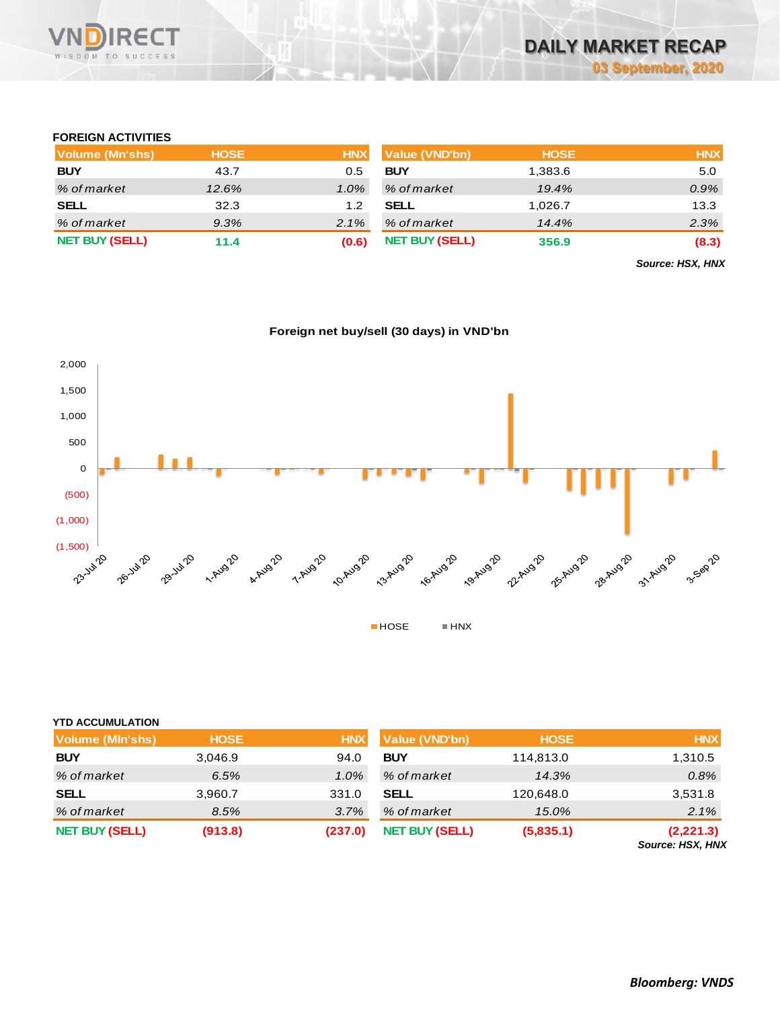

### **FOREIGN ACTIVITIES**

| Volume (Mn'shs)       | <b>HOSE</b> | <b>HNX</b> | <b>Value (VND'bn)</b> | <b>HOSE</b> | <b>HNX</b> |
|-----------------------|-------------|------------|-----------------------|-------------|------------|
| <b>BUY</b>            | 43.7        | 0.5        | <b>BUY</b>            | 1,383.6     | 5.0        |
| % of market           | 12.6%       | $1.0\%$    | % of market           | 19.4%       | 0.9%       |
| <b>SELL</b>           | 32.3        | 1.2        | <b>SELL</b>           | 1.026.7     | 13.3       |
| % of market           | $9.3\%$     | $2.1\%$    | % of market           | 14.4%       | 2.3%       |
| <b>NET BUY (SELL)</b> | 11.4        | (0.6)      | <b>NET BUY (SELL)</b> | 356.9       | (8.3)      |

*Source: HSX, HNX*





| <b>YTD ACCUMULATION</b> |             |            |                       |             |                                      |
|-------------------------|-------------|------------|-----------------------|-------------|--------------------------------------|
| <b>Volume (MIn'shs)</b> | <b>HOSE</b> | <b>HNX</b> | Value (VND'bn)        | <b>HOSE</b> | <b>HNX</b>                           |
| <b>BUY</b>              | 3.046.9     | 94.0       | <b>BUY</b>            | 114,813.0   | 1,310.5                              |
| % of market             | 6.5%        | $1.0\%$    | % of market           | 14.3%       | 0.8%                                 |
| <b>SELL</b>             | 3,960.7     | 331.0      | <b>SELL</b>           | 120,648.0   | 3,531.8                              |
| % of market             | 8.5%        | 3.7%       | % of market           | 15.0%       | 2.1%                                 |
| <b>NET BUY (SELL)</b>   | (913.8)     | (237.0)    | <b>NET BUY (SELL)</b> | (5,835.1)   | (2,221.3)<br><b>Source: HSX, HNX</b> |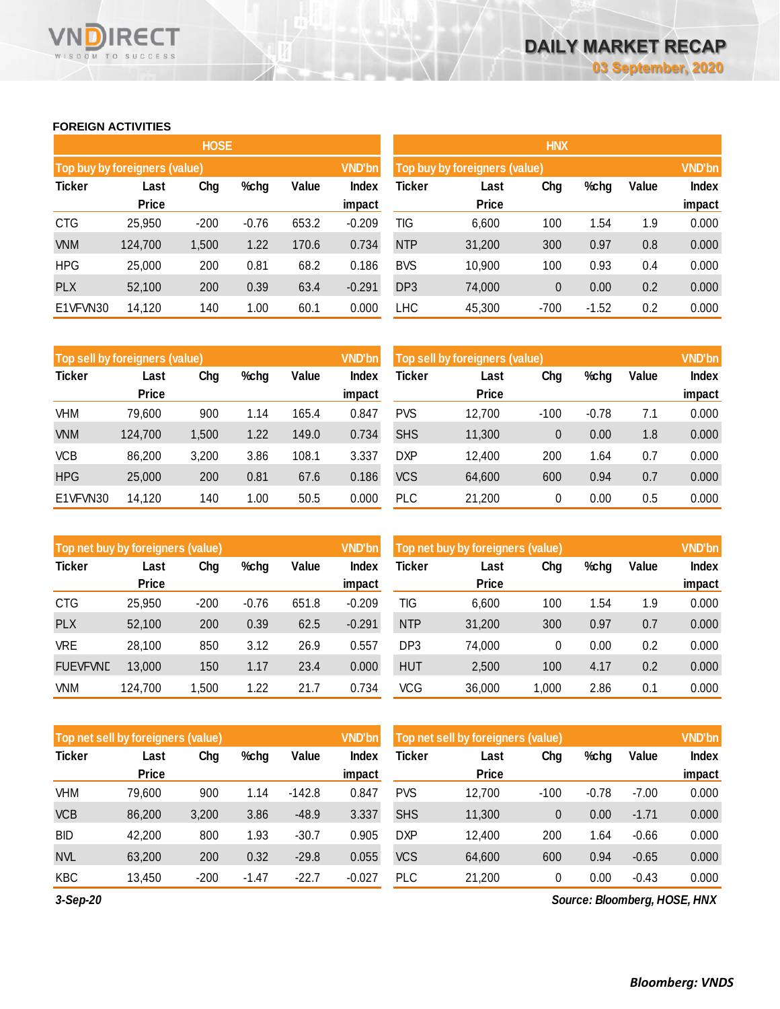### **FOREIGN ACTIVITIES**

WISDOM TO SUCCESS

**RECT** 

VND

|               |                               | <b>HOSE</b> |         |       |               |                               |              | <b>HNX</b>    |         |       |              |
|---------------|-------------------------------|-------------|---------|-------|---------------|-------------------------------|--------------|---------------|---------|-------|--------------|
|               | Top buy by foreigners (value) |             |         |       | <b>VND'bn</b> | Top buy by foreigners (value) |              | <b>VND'bn</b> |         |       |              |
| <b>Ticker</b> | Last                          | Chg         | %chg    | Value | Index         | <b>Ticker</b>                 | Last         | Chg           | %chg    | Value | <b>Index</b> |
|               | <b>Price</b>                  |             |         |       | impact        |                               | <b>Price</b> |               |         |       | impact       |
| <b>CTG</b>    | 25,950                        | $-200$      | $-0.76$ | 653.2 | $-0.209$      | TIG                           | 6,600        | 100           | 1.54    | 1.9   | 0.000        |
| <b>VNM</b>    | 124,700                       | 1,500       | 1.22    | 170.6 | 0.734         | <b>NTP</b>                    | 31,200       | 300           | 0.97    | 0.8   | 0.000        |
| <b>HPG</b>    | 25,000                        | 200         | 0.81    | 68.2  | 0.186         | <b>BVS</b>                    | 10,900       | 100           | 0.93    | 0.4   | 0.000        |
| <b>PLX</b>    | 52,100                        | 200         | 0.39    | 63.4  | $-0.291$      | DP <sub>3</sub>               | 74,000       | $\mathbf{0}$  | 0.00    | 0.2   | 0.000        |
| E1VFVN30      | 14,120                        | 140         | 1.00    | 60.1  | 0.000         | <b>LHC</b>                    | 45,300       | $-700$        | $-1.52$ | 0.2   | 0.000        |

|               | Top sell by foreigners (value) |       |      |       | <b>VND'bn</b> | Top sell by foreigners (value), | <b>VND'bn</b> |        |         |       |        |
|---------------|--------------------------------|-------|------|-------|---------------|---------------------------------|---------------|--------|---------|-------|--------|
| <b>Ticker</b> | Last                           | Chg   | %chg | Value | <b>Index</b>  | Ticker                          | Last          | Chg    | %chg    | Value | Index  |
|               | <b>Price</b>                   |       |      |       | impact        |                                 | <b>Price</b>  |        |         |       | impact |
| VHM           | 79,600                         | 900   | 1.14 | 165.4 | 0.847         | <b>PVS</b>                      | 12,700        | $-100$ | $-0.78$ | 7.1   | 0.000  |
| <b>VNM</b>    | 124,700                        | 1,500 | 1.22 | 149.0 | 0.734         | <b>SHS</b>                      | 11,300        | 0      | 0.00    | 1.8   | 0.000  |
| <b>VCB</b>    | 86,200                         | 3,200 | 3.86 | 108.1 | 3.337         | <b>DXP</b>                      | 12.400        | 200    | 1.64    | 0.7   | 0.000  |
| <b>HPG</b>    | 25,000                         | 200   | 0.81 | 67.6  | 0.186         | <b>VCS</b>                      | 64,600        | 600    | 0.94    | 0.7   | 0.000  |
| E1VFVN30      | 14,120                         | 140   | 1.00 | 50.5  | 0.000         | <b>PLC</b>                      | 21,200        | 0      | 0.00    | 0.5   | 0.000  |

| Top net buy by foreigners (value) |              |        |         |       | <b>VND'bn</b> | <b>VND'bn</b><br>Top net buy by foreigners (value) |              |       |      |       |        |
|-----------------------------------|--------------|--------|---------|-------|---------------|----------------------------------------------------|--------------|-------|------|-------|--------|
| <b>Ticker</b>                     | Last         | Chg    | %chg    | Value | Index         | Ticker                                             | Last         | Chg   | %chg | Value | Index  |
|                                   | <b>Price</b> |        |         |       | impact        |                                                    | <b>Price</b> |       |      |       | impact |
| <b>CTG</b>                        | 25,950       | $-200$ | $-0.76$ | 651.8 | $-0.209$      | TIG                                                | 6,600        | 100   | 1.54 | 1.9   | 0.000  |
| <b>PLX</b>                        | 52.100       | 200    | 0.39    | 62.5  | $-0.291$      | <b>NTP</b>                                         | 31,200       | 300   | 0.97 | 0.7   | 0.000  |
| VRE                               | 28.100       | 850    | 3.12    | 26.9  | 0.557         | DP <sub>3</sub>                                    | 74,000       | 0     | 0.00 | 0.2   | 0.000  |
| <b>FUEVFVND</b>                   | 13,000       | 150    | 1.17    | 23.4  | 0.000         | <b>HUT</b>                                         | 2,500        | 100   | 4.17 | 0.2   | 0.000  |
| VNM                               | 124,700      | ,500   | 1.22    | 21.7  | 0.734         | <b>VCG</b>                                         | 36,000       | 1,000 | 2.86 | 0.1   | 0.000  |

|               | Top net sell by foreigners (value) |        |         |          | <b>VND'bn</b> | Top net sell by foreigners (value) |                      | <b>VND'bn</b> |         |         |                        |
|---------------|------------------------------------|--------|---------|----------|---------------|------------------------------------|----------------------|---------------|---------|---------|------------------------|
| <b>Ticker</b> | Last<br><b>Price</b>               | Chg    | %chg    | Value    | Index         | Ticker                             | Last<br><b>Price</b> | Chg           | %chg    | Value   | <b>Index</b><br>impact |
|               |                                    |        |         |          | impact        |                                    |                      |               |         |         |                        |
| VHM           | 79,600                             | 900    | 1.14    | $-142.8$ | 0.847         | <b>PVS</b>                         | 12,700               | $-100$        | $-0.78$ | $-7.00$ | 0.000                  |
| <b>VCB</b>    | 86,200                             | 3,200  | 3.86    | $-48.9$  | 3.337         | <b>SHS</b>                         | 11,300               | 0             | 0.00    | $-1.71$ | 0.000                  |
| <b>BID</b>    | 42,200                             | 800    | 1.93    | $-30.7$  | 0.905         | <b>DXP</b>                         | 12,400               | 200           | 1.64    | $-0.66$ | 0.000                  |
| <b>NVL</b>    | 63,200                             | 200    | 0.32    | $-29.8$  | 0.055         | <b>VCS</b>                         | 64,600               | 600           | 0.94    | $-0.65$ | 0.000                  |
| <b>KBC</b>    | 13,450                             | $-200$ | $-1.47$ | $-22.7$  | $-0.027$      | <b>PLC</b>                         | 21,200               | 0             | 0.00    | $-0.43$ | 0.000                  |

*3-Sep-20*

*Source: Bloomberg, HOSE, HNX*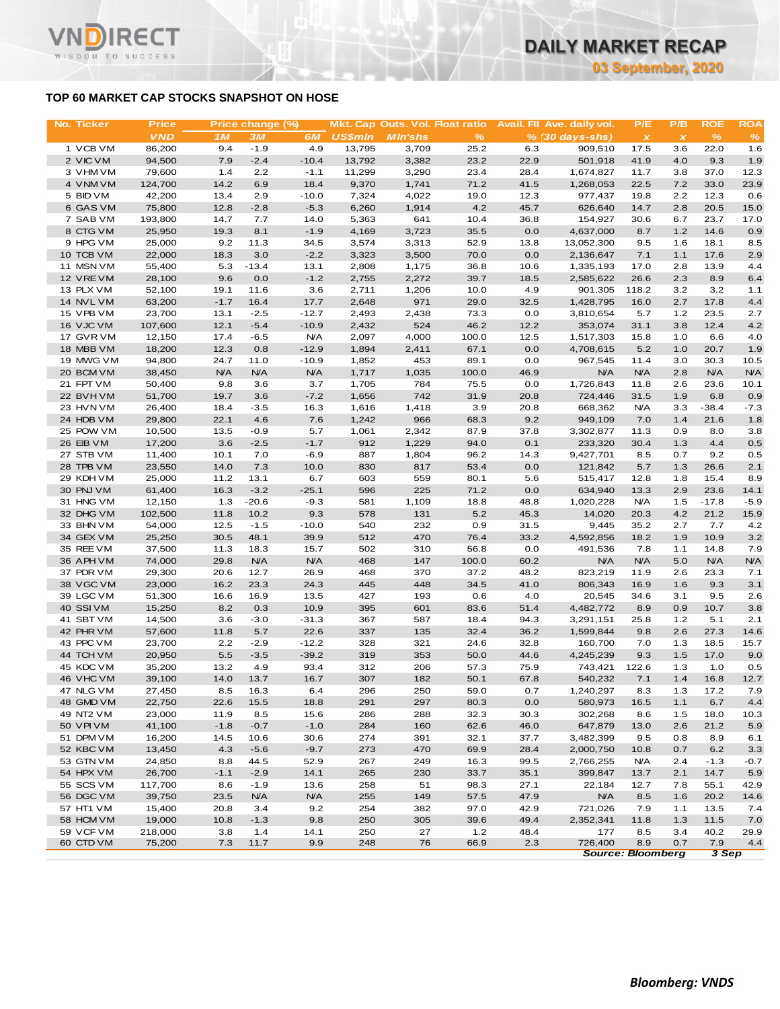### **TOP 60 MARKET CAP STOCKS SNAPSHOT ON HOSE**

т

WISDOM TO SUCCESS

|                        |                  |                                           |                  |                |                  |                |                                 |             |                                     |              | <u>ua deptember, zuzu</u> |              |               |
|------------------------|------------------|-------------------------------------------|------------------|----------------|------------------|----------------|---------------------------------|-------------|-------------------------------------|--------------|---------------------------|--------------|---------------|
|                        |                  | TOP 60 MARKET CAP STOCKS SNAPSHOT ON HOSE |                  |                |                  |                |                                 |             |                                     |              |                           |              |               |
| No. Ticker             | <b>Price</b>     |                                           | Price change (%) |                |                  |                | Mkt. Cap Outs. Vol. Float ratio |             | Avail. Fil Ave. daily vol.          | P/E          | P/B                       | <b>ROE</b>   | <b>ROA</b>    |
|                        | <b>VND</b>       | 1M                                        | 3M               | 6M             | <b>US\$mln</b>   | <b>MIn'shs</b> | $\frac{9}{6}$                   |             | $% (30 days-shs)$                   | $\mathbf{x}$ | $\boldsymbol{\mathsf{x}}$ | %            | $\frac{9}{6}$ |
| 1 VCB VM<br>2 VIC VM   | 86,200<br>94,500 | 9.4<br>7.9                                | $-1.9$<br>$-2.4$ | 4.9<br>$-10.4$ | 13,795<br>13,792 | 3,709<br>3,382 | 25.2<br>23.2                    | 6.3<br>22.9 | 909,510<br>501,918                  | 17.5<br>41.9 | 3.6<br>4.0                | 22.0<br>9.3  | 1.6<br>1.9    |
| 3 VHM VM               | 79,600           | 1.4                                       | 2.2              | $-1.1$         | 11,299           | 3,290          | 23.4                            | 28.4        | 1,674,827                           | 11.7         | 3.8                       | 37.0         | 12.3          |
| 4 VNM VM               | 124,700          | 14.2                                      | 6.9              | 18.4           | 9,370            | 1,741          | 71.2                            | 41.5        | 1,268,053                           | 22.5         | 7.2                       | 33.0         | 23.9          |
| 5 BID VM               | 42,200           | 13.4                                      | 2.9              | $-10.0$        | 7,324            | 4,022          | 19.0                            | 12.3        | 977,437                             | 19.8         | 2.2                       | 12.3         | 0.6           |
| 6 GAS VM               | 75,800           | 12.8                                      | $-2.8$           | $-5.3$         | 6,260            | 1,914          | 4.2                             | 45.7        | 626,640                             | 14.7         | 2.8                       | 20.5         | 15.0          |
| 7 SAB VM               | 193,800          | 14.7                                      | 7.7              | 14.0           | 5,363            | 641            | 10.4                            | 36.8        | 154,927                             | 30.6         | 6.7                       | 23.7         | 17.0          |
| 8 CTG VM               | 25,950           | 19.3                                      | 8.1              | $-1.9$         | 4,169            | 3,723          | 35.5                            | 0.0         | 4,637,000                           | 8.7          | 1.2                       | 14.6         | 0.9           |
| 9 HPG VM               | 25,000           | 9.2                                       | 11.3             | 34.5           | 3,574            | 3,313          | 52.9                            | 13.8        | 13,052,300                          | 9.5          | 1.6                       | 18.1         | 8.5           |
| 10 TCB VM              | 22,000           | 18.3                                      | 3.0              | $-2.2$         | 3,323            | 3,500          | 70.0                            | 0.0         | 2,136,647                           | 7.1          | 1.1                       | 17.6         | 2.9           |
| 11 MSN VM              | 55,400           | 5.3                                       | $-13.4$          | 13.1           | 2,808            | 1,175          | 36.8                            | 10.6        | 1,335,193                           | 17.0         | 2.8                       | 13.9         | 4.4           |
| 12 VRE VM              | 28,100           | 9.6                                       | 0.0              | $-1.2$         | 2,755            | 2,272          | 39.7                            | 18.5        | 2,585,622                           | 26.6         | 2.3                       | 8.9          | 6.4           |
| 13 PLX VM              | 52,100           | 19.1                                      | 11.6             | 3.6            | 2,711            | 1,206          | 10.0                            | 4.9         | 901,305                             | 118.2        | 3.2                       | 3.2          | 1.1           |
| 14 NVL VM              | 63,200           | $-1.7$                                    | 16.4             | 17.7           | 2,648            | 971            | 29.0                            | 32.5        | 1,428,795                           | 16.0         | 2.7                       | 17.8         | 4.4           |
| 15 VPB VM              | 23,700           | 13.1                                      | $-2.5$           | $-12.7$        | 2,493            | 2,438          | 73.3                            | 0.0         | 3,810,654                           | 5.7          | 1.2                       | 23.5         | 2.7           |
| 16 VJC VM              | 107,600          | 12.1                                      | $-5.4$           | $-10.9$        | 2,432            | 524            | 46.2                            | 12.2        | 353,074                             | 31.1         | 3.8                       | 12.4         | 4.2           |
| 17 GVR VM              | 12,150           | 17.4                                      | $-6.5$           | <b>N/A</b>     | 2,097            | 4,000          | 100.0                           | 12.5        | 1,517,303                           | 15.8         | 1.0                       | 6.6          | 4.0           |
| 18 MBB VM              | 18,200           | 12.3                                      | 0.8              | $-12.9$        | 1,894            | 2,411          | 67.1                            | 0.0         | 4,708,615                           | 5.2          | 1.0                       | 20.7         | 1.9           |
| 19 MWG VM              | 94,800           | 24.7                                      | 11.0             | $-10.9$        | 1,852            | 453            | 89.1                            | 0.0         | 967,545                             | 11.4         | 3.0                       | 30.3         | 10.5          |
| 20 BCM VM<br>21 FPT VM | 38,450           | <b>N/A</b>                                | <b>N/A</b>       | <b>N/A</b>     | 1,717            | 1,035          | 100.0                           | 46.9        | <b>N/A</b>                          | <b>N/A</b>   | 2.8                       | N/A          | <b>N/A</b>    |
| 22 BVHVM               | 50,400<br>51,700 | 9.8<br>19.7                               | 3.6<br>3.6       | 3.7<br>$-7.2$  | 1,705<br>1,656   | 784<br>742     | 75.5<br>31.9                    | 0.0<br>20.8 | 1,726,843<br>724,446                | 11.8<br>31.5 | 2.6<br>1.9                | 23.6<br>6.8  | 10.1<br>0.9   |
| 23 HVN VM              | 26,400           | 18.4                                      | $-3.5$           | 16.3           | 1,616            | 1,418          | 3.9                             | 20.8        | 668,362                             | <b>N/A</b>   | 3.3                       | $-38.4$      | $-7.3$        |
| 24 HDB VM              | 29,800           | 22.1                                      | 4.6              | 7.6            | 1,242            | 966            | 68.3                            | 9.2         | 949.109                             | 7.0          | 1.4                       | 21.6         | 1.8           |
| 25 POW VM              | 10,500           | 13.5                                      | $-0.9$           | 5.7            | 1,061            | 2,342          | 87.9                            | 37.8        | 3,302,877                           | 11.3         | 0.9                       | 8.0          | 3.8           |
| 26 EIB VM              | 17,200           | 3.6                                       | $-2.5$           | $-1.7$         | 912              | 1,229          | 94.0                            | 0.1         | 233,320                             | 30.4         | 1.3                       | 4.4          | 0.5           |
| 27 STB VM              | 11,400           | 10.1                                      | 7.0              | $-6.9$         | 887              | 1,804          | 96.2                            | 14.3        | 9,427,701                           | 8.5          | 0.7                       | 9.2          | 0.5           |
| 28 TPB VM              | 23,550           | 14.0                                      | 7.3              | 10.0           | 830              | 817            | 53.4                            | 0.0         | 121,842                             | 5.7          | 1.3                       | 26.6         | 2.1           |
| 29 KDH VM              | 25,000           | 11.2                                      | 13.1             | 6.7            | 603              | 559            | 80.1                            | 5.6         | 515,417                             | 12.8         | 1.8                       | 15.4         | 8.9           |
| 30 PNJ VM              | 61,400           | 16.3                                      | $-3.2$           | $-25.1$        | 596              | 225            | 71.2                            | 0.0         | 634,940                             | 13.3         | 2.9                       | 23.6         | 14.1          |
| 31 HNG VM              | 12,150           | 1.3                                       | $-20.6$          | $-9.3$         | 581              | 1,109          | 18.8                            | 48.8        | 1,020,228                           | <b>N/A</b>   | 1.5                       | $-17.8$      | $-5.9$        |
| 32 DHG VM              | 102,500          | 11.8                                      | 10.2             | 9.3            | 578              | 131            | 5.2                             | 45.3        | 14,020                              | 20.3         | 4.2                       | 21.2         | 15.9          |
| 33 BHN VM              | 54,000           | 12.5                                      | $-1.5$           | $-10.0$        | 540              | 232            | 0.9                             | 31.5        | 9,445                               | 35.2         | 2.7                       | 7.7          | 4.2           |
| 34 GEX VM              | 25,250           | 30.5                                      | 48.1             | 39.9           | 512              | 470            | 76.4                            | 33.2        | 4,592,856                           | 18.2         | 1.9                       | 10.9         | 3.2           |
| 35 REE VM              | 37,500           | 11.3                                      | 18.3             | 15.7           | 502              | 310            | 56.8                            | 0.0         | 491,536                             | 7.8          | 1.1                       | 14.8         | 7.9           |
| 36 APH VM              | 74,000           | 29.8                                      | N/A              | <b>N/A</b>     | 468              | 147            | 100.0                           | 60.2        | <b>N/A</b>                          | N/A          | 5.0                       | N/A          | <b>N/A</b>    |
| 37 PDR VM              | 29,300           | 20.6                                      | 12.7             | 26.9           | 468              | 370            | 37.2                            | 48.2        | 823,219                             | 11.9         | 2.6                       | 23.3         | 7.1           |
| 38 VGC VM<br>39 LGC VM | 23,000           | 16.2<br>16.6                              | 23.3<br>16.9     | 24.3<br>13.5   | 445<br>427       | 448<br>193     | 34.5<br>0.6                     | 41.0<br>4.0 | 806,343<br>20,545                   | 16.9<br>34.6 | 1.6<br>3.1                | 9.3<br>9.5   | 3.1           |
| 40 SSIVM               | 51,300<br>15,250 | 8.2                                       | 0.3              | 10.9           | 395              | 601            | 83.6                            | 51.4        | 4,482,772                           | 8.9          | 0.9                       | 10.7         | 2.6<br>3.8    |
| 41 SBT VM              | 14,500           | 3.6                                       | $-3.0$           | $-31.3$        | 367              | 587            | 18.4                            | 94.3        | 3,291,151                           | 25.8         | 1.2                       | 5.1          | 2.1           |
| 42 PHR VM              | 57,600           | 11.8                                      | 5.7              | 22.6           | 337              | 135            | 32.4                            | 36.2        | 1,599,844                           | 9.8          | 2.6                       | 27.3         | 14.6          |
| 43 PPC VM              | 23,700           | 2.2                                       | $-2.9$           | $-12.2$        | 328              | 321            | 24.6                            | 32.8        | 160,700                             | 7.0          | 1.3                       | 18.5         | 15.7          |
| 44 TCH VM              | 20,950           | 5.5                                       | $-3.5$           | $-39.2$        | 319              | 353            | 50.0                            | 44.6        | 4,245,239                           | 9.3          | 1.5                       | 17.0         | 9.0           |
| 45 KDC VM              | 35,200           | 13.2                                      | 4.9              | 93.4           | 312              | 206            | 57.3                            | 75.9        | 743,421                             | 122.6        | 1.3                       | 1.0          | 0.5           |
| 46 VHC VM              | 39,100           | 14.0                                      | 13.7             | 16.7           | 307              | 182            | 50.1                            | 67.8        | 540,232                             | 7.1          | 1.4                       | 16.8         | 12.7          |
| 47 NLG VM              | 27,450           | 8.5                                       | 16.3             | 6.4            | 296              | 250            | 59.0                            | 0.7         | 1,240,297                           | 8.3          | 1.3                       | 17.2         | 7.9           |
| 48 GMD VM              | 22,750           | 22.6                                      | 15.5             | 18.8           | 291              | 297            | 80.3                            | 0.0         | 580,973                             | 16.5         | 1.1                       | 6.7          | 4.4           |
| 49 NT2 VM              | 23,000           | 11.9                                      | 8.5              | 15.6           | 286              | 288            | 32.3                            | 30.3        | 302,268                             | 8.6          | 1.5                       | 18.0         | 10.3          |
| 50 VPI VM              | 41,100           | $-1.8$                                    | $-0.7$           | $-1.0$         | 284              | 160            | 62.6                            | 46.0        | 647,879                             | 13.0         | 2.6                       | 21.2         | 5.9           |
| 51 DPM VM              | 16,200           | 14.5                                      | 10.6             | 30.6           | 274              | 391            | 32.1                            | 37.7        | 3,482,399                           | 9.5          | 0.8                       | 8.9          | 6.1           |
| 52 KBC VM              | 13,450           | 4.3                                       | $-5.6$           | $-9.7$         | 273              | 470            | 69.9                            | 28.4        | 2,000,750                           | 10.8         | 0.7                       | 6.2          | 3.3           |
| 53 GTN VM              | 24,850           | 8.8                                       | 44.5             | 52.9           | 267              | 249            | 16.3                            | 99.5        | 2,766,255                           | <b>N/A</b>   | 2.4                       | $-1.3$       | $-0.7$        |
| 54 HPX VM              | 26,700           | $-1.1$                                    | $-2.9$           | 14.1           | 265              | 230            | 33.7                            | 35.1        | 399,847                             | 13.7         | 2.1                       | 14.7         | 5.9           |
| 55 SCS VM              | 117,700          | 8.6                                       | $-1.9$           | 13.6           | 258              | 51             | 98.3                            | 27.1        | 22,184                              | 12.7         | 7.8                       | 55.1         | 42.9          |
| 56 DGC VM              | 39,750           | 23.5                                      | <b>N/A</b>       | <b>N/A</b>     | 255              | 149            | 57.5                            | 47.9        | <b>N/A</b>                          | 8.5          | 1.6                       | 20.2         | 14.6          |
| 57 HT1 VM              | 15,400           | 20.8                                      | 3.4              | 9.2            | 254              | 382            | 97.0                            | 42.9        | 721,026                             | 7.9          | 1.1                       | 13.5         | 7.4           |
| 58 HCM VM              | 19,000           | 10.8                                      | $-1.3$           | 9.8            | 250              | 305            | 39.6                            | 49.4        | 2,352,341                           | 11.8         | 1.3                       | 11.5         | 7.0           |
| 59 VCF VM              | 218,000          | 3.8                                       | 1.4              | 14.1           | 250              | 27             | 1.2                             | 48.4        | 177                                 | 8.5          | 3.4                       | 40.2         | 29.9          |
| 60 CTD VM              | 75,200           | 7.3                                       | 11.7             | 9.9            | 248              | 76             | 66.9                            | 2.3         | 726,400<br><b>Source: Bloomberg</b> | 8.9          | 0.7                       | 7.9<br>3 Sep | 4.4           |
|                        |                  |                                           |                  |                |                  |                |                                 |             |                                     |              |                           |              |               |